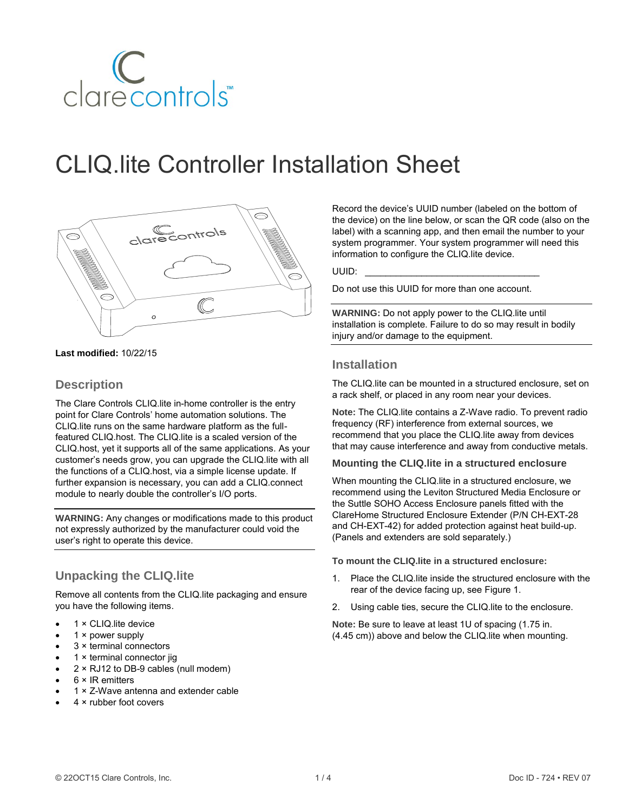

# CLIQ.lite Controller Installation Sheet



**Last modified:** 10/22/15

#### **Description**

The Clare Controls CLIQ.lite in-home controller is the entry point for Clare Controls' home automation solutions. The CLIQ.lite runs on the same hardware platform as the fullfeatured CLIQ.host. The CLIQ.lite is a scaled version of the CLIQ.host, yet it supports all of the same applications. As your customer's needs grow, you can upgrade the CLIQ.lite with all the functions of a CLIQ.host, via a simple license update. If further expansion is necessary, you can add a CLIQ.connect module to nearly double the controller's I/O ports.

**WARNING:** Any changes or modifications made to this product not expressly authorized by the manufacturer could void the user's right to operate this device.

### **Unpacking the CLIQ.lite**

Remove all contents from the CLIQ.lite packaging and ensure you have the following items.

- 1 × CLIQ.lite device
- 1 × power supply
- 3 × terminal connectors
- 1 × terminal connector jig
- 2 × RJ12 to DB-9 cables (null modem)
- 6 × IR emitters
- 1 × Z-Wave antenna and extender cable
- 4 × rubber foot covers

Record the device's UUID number (labeled on the bottom of the device) on the line below, or scan the QR code (also on the label) with a scanning app, and then email the number to your system programmer. Your system programmer will need this information to configure the CLIQ.lite device.

UUID: \_\_\_\_\_\_\_\_\_\_\_\_\_\_\_\_\_\_\_\_\_\_\_\_\_\_\_\_\_\_\_\_\_\_

Do not use this UUID for more than one account.

**WARNING:** Do not apply power to the CLIQ.lite until installation is complete. Failure to do so may result in bodily injury and/or damage to the equipment.

#### **Installation**

The CLIQ.lite can be mounted in a structured enclosure, set on a rack shelf, or placed in any room near your devices.

**Note:** The CLIQ.lite contains a Z-Wave radio. To prevent radio frequency (RF) interference from external sources, we recommend that you place the CLIQ.lite away from devices that may cause interference and away from conductive metals.

#### **Mounting the CLIQ.lite in a structured enclosure**

When mounting the CLIQ.lite in a structured enclosure, we recommend using the Leviton Structured Media Enclosure or the Suttle SOHO Access Enclosure panels fitted with the ClareHome Structured Enclosure Extender (P/N CH-EXT-28 and CH-EXT-42) for added protection against heat build-up. (Panels and extenders are sold separately.)

**To mount the CLIQ.lite in a structured enclosure:** 

- 1. Place the CLIQ.lite inside the structured enclosure with the rear of the device facing up, se[e Figure 1.](#page-1-0)
- 2. Using cable ties, secure the CLIQ.lite to the enclosure.

**Note:** Be sure to leave at least 1U of spacing (1.75 in. (4.45 cm)) above and below the CLIQ.lite when mounting.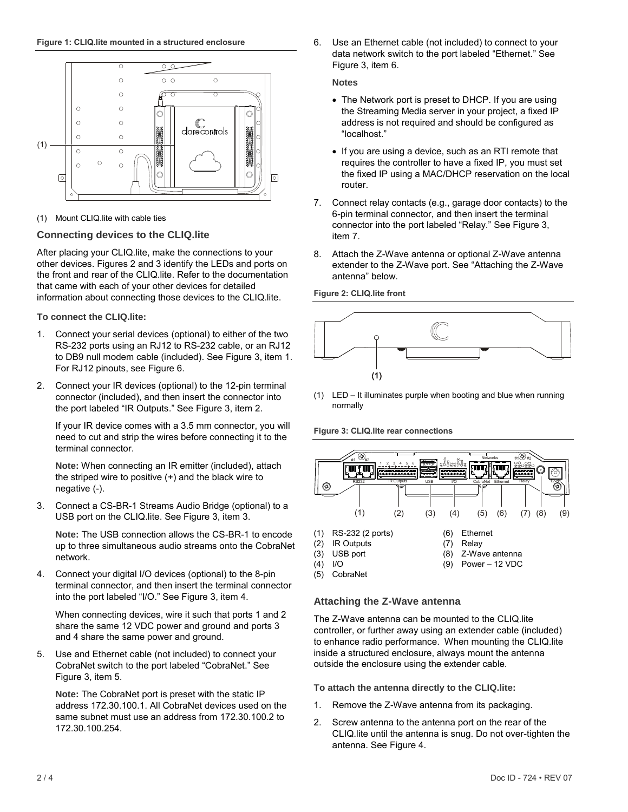<span id="page-1-0"></span>

(1) Mount CLIQ.lite with cable ties

#### **Connecting devices to the CLIQ.lite**

After placing your CLIQ.lite, make the connections to your other devices. Figures 2 and 3 identify the LEDs and ports on the front and rear of the CLIQ.lite. Refer to the documentation that came with each of your other devices for detailed information about connecting those devices to the CLIQ.lite.

**To connect the CLIQ.lite:** 

- 1. Connect your serial devices (optional) to either of the two RS-232 ports using an RJ12 to RS-232 cable, or an RJ12 to DB9 null modem cable (included). See [Figure 3,](#page-1-1) item 1. For RJ12 pinouts, se[e Figure 6.](#page-2-0)
- 2. Connect your IR devices (optional) to the 12-pin terminal connector (included), and then insert the connector into the port labeled "IR Outputs." See [Figure 3,](#page-1-1) item 2.

If your IR device comes with a 3.5 mm connector, you will need to cut and strip the wires before connecting it to the terminal connector.

**Note:** When connecting an IR emitter (included), attach the striped wire to positive (+) and the black wire to negative (-).

3. Connect a CS-BR-1 Streams Audio Bridge (optional) to a USB port on the CLIQ.lite. See [Figure 3,](#page-1-1) item 3.

**Note:** The USB connection allows the CS-BR-1 to encode up to three simultaneous audio streams onto the CobraNet network.

4. Connect your digital I/O devices (optional) to the 8-pin terminal connector, and then insert the terminal connector into the port labeled "I/O." See [Figure 3,](#page-1-1) item 4.

When connecting devices, wire it such that ports 1 and 2 share the same 12 VDC power and ground and ports 3 and 4 share the same power and ground.

5. Use and Ethernet cable (not included) to connect your CobraNet switch to the port labeled "CobraNet." See [Figure 3,](#page-1-1) item 5.

**Note:** The CobraNet port is preset with the static IP address 172.30.100.1. All CobraNet devices used on the same subnet must use an address from 172.30.100.2 to 172.30.100.254.

6. Use an Ethernet cable (not included) to connect to your data network switch to the port labeled "Ethernet." See [Figure 3,](#page-1-1) item 6.

**Notes** 

- The Network port is preset to DHCP. If you are using the Streaming Media server in your project, a fixed IP address is not required and should be configured as "localhost."
- If you are using a device, such as an RTI remote that requires the controller to have a fixed IP, you must set the fixed IP using a MAC/DHCP reservation on the local router.
- 7. Connect relay contacts (e.g., garage door contacts) to the 6-pin terminal connector, and then insert the terminal connector into the port labeled "Relay." See [Figure 3,](#page-1-1) item 7.
- 8. Attach the Z-Wave antenna or optional Z-Wave antenna extender to the Z-Wave port. See ["Attaching the Z-Wave](#page-1-2)  [antenna"](#page-1-2) below.

<span id="page-1-3"></span>**Figure 2: CLIQ.lite front** 



(1) LED – It illuminates purple when booting and blue when running normally

<span id="page-1-1"></span>**Figure 3: CLIQ.lite rear connections** 



#### <span id="page-1-2"></span>**Attaching the Z-Wave antenna**

The Z-Wave antenna can be mounted to the CLIQ.lite controller, or further away using an extender cable (included) to enhance radio performance. When mounting the CLIQ.lite inside a structured enclosure, always mount the antenna outside the enclosure using the extender cable.

**To attach the antenna directly to the CLIQ.lite:** 

- 1. Remove the Z-Wave antenna from its packaging.
- 2. Screw antenna to the antenna port on the rear of the CLIQ.lite until the antenna is snug. Do not over-tighten the antenna. See [Figure 4.](#page-2-1)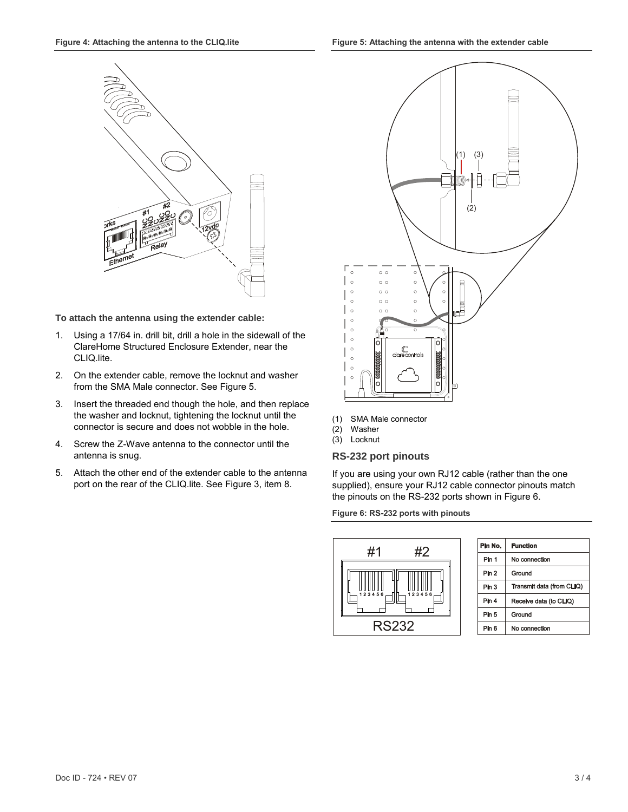<span id="page-2-1"></span>

**To attach the antenna using the extender cable:** 

- 1. Using a 17/64 in. drill bit, drill a hole in the sidewall of the ClareHome Structured Enclosure Extender, near the CLIQ.lite.
- 2. On the extender cable, remove the locknut and washer from the SMA Male connector. Se[e Figure 5.](#page-2-2)
- 3. Insert the threaded end though the hole, and then replace the washer and locknut, tightening the locknut until the connector is secure and does not wobble in the hole.
- 4. Screw the Z-Wave antenna to the connector until the antenna is snug.
- 5. Attach the other end of the extender cable to the antenna port on the rear of the CLIQ.lite. Se[e Figure 3,](#page-1-1) item 8.

<span id="page-2-2"></span>

- (1) SMA Male connector
- (2) Washer
- $(3)$  Locknut

#### **RS-232 port pinouts**

If you are using your own RJ12 cable (rather than the one supplied), ensure your RJ12 cable connector pinouts match the pinouts on the RS-232 ports shown i[n Figure 6.](#page-2-0)

<span id="page-2-0"></span>

| Pin No.          | <b>Function</b>           |
|------------------|---------------------------|
| Pin 1            | No connection             |
| Pin <sub>2</sub> | Ground                    |
| Pin 3            | Transmit data (from CLIQ) |
| Pin 4            | Receive data (to CLIQ)    |
| Pin 5            | Ground                    |
| Pin 6            | No connection             |